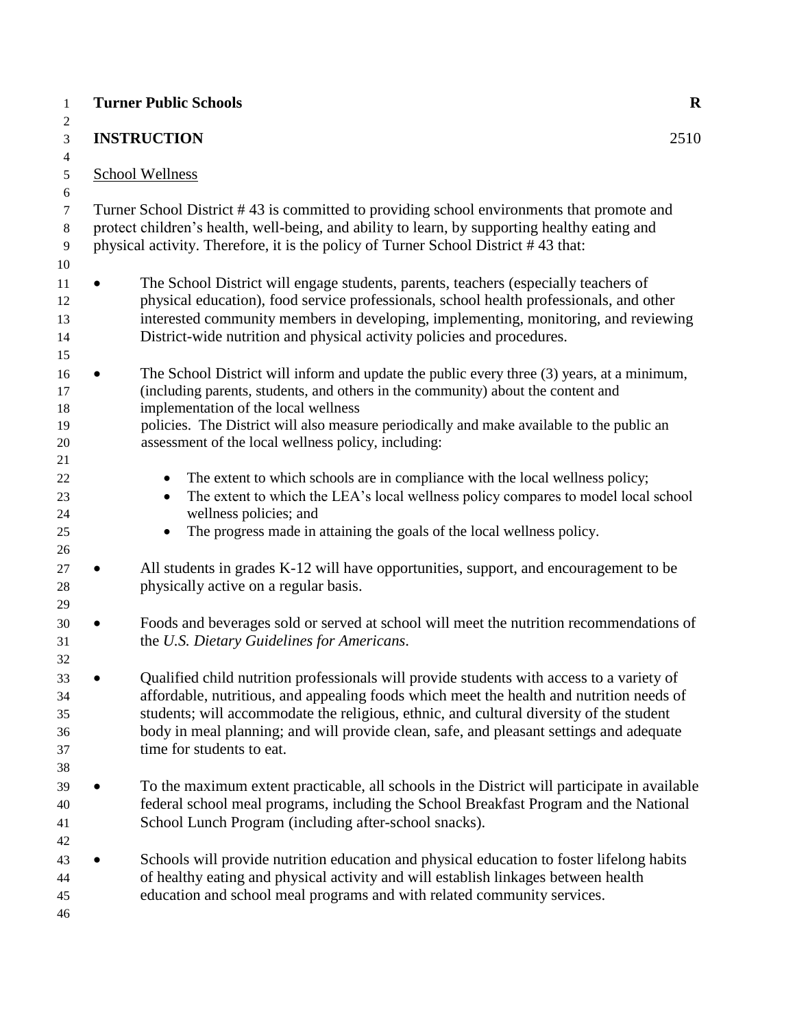|                                  | <b>Turner Public Schools</b>                                                                                                                                                                                                                                                                                                                                                                             | $\mathbf R$ |  |
|----------------------------------|----------------------------------------------------------------------------------------------------------------------------------------------------------------------------------------------------------------------------------------------------------------------------------------------------------------------------------------------------------------------------------------------------------|-------------|--|
| $\overline{2}$<br>3              | <b>INSTRUCTION</b>                                                                                                                                                                                                                                                                                                                                                                                       | 2510        |  |
| 4<br>5                           | <b>School Wellness</b>                                                                                                                                                                                                                                                                                                                                                                                   |             |  |
| 6<br>7<br>8<br>9<br>10           | Turner School District #43 is committed to providing school environments that promote and<br>protect children's health, well-being, and ability to learn, by supporting healthy eating and<br>physical activity. Therefore, it is the policy of Turner School District #43 that:                                                                                                                         |             |  |
| 11<br>12<br>13<br>14<br>15       | The School District will engage students, parents, teachers (especially teachers of<br>physical education), food service professionals, school health professionals, and other<br>interested community members in developing, implementing, monitoring, and reviewing<br>District-wide nutrition and physical activity policies and procedures.                                                          |             |  |
| 16<br>17<br>18<br>19<br>20       | The School District will inform and update the public every three (3) years, at a minimum,<br>$\bullet$<br>(including parents, students, and others in the community) about the content and<br>implementation of the local wellness<br>policies. The District will also measure periodically and make available to the public an<br>assessment of the local wellness policy, including:                  |             |  |
| 21<br>22<br>23<br>24<br>25<br>26 | The extent to which schools are in compliance with the local wellness policy;<br>The extent to which the LEA's local wellness policy compares to model local school<br>wellness policies; and<br>The progress made in attaining the goals of the local wellness policy.                                                                                                                                  |             |  |
| 27<br>28<br>29                   | All students in grades K-12 will have opportunities, support, and encouragement to be<br>physically active on a regular basis.                                                                                                                                                                                                                                                                           |             |  |
| 30<br>31<br>32                   | Foods and beverages sold or served at school will meet the nutrition recommendations of<br>the U.S. Dietary Guidelines for Americans.                                                                                                                                                                                                                                                                    |             |  |
| 33<br>34<br>35<br>36<br>37<br>38 | Qualified child nutrition professionals will provide students with access to a variety of<br>affordable, nutritious, and appealing foods which meet the health and nutrition needs of<br>students; will accommodate the religious, ethnic, and cultural diversity of the student<br>body in meal planning; and will provide clean, safe, and pleasant settings and adequate<br>time for students to eat. |             |  |
| 39<br>40<br>41                   | To the maximum extent practicable, all schools in the District will participate in available<br>federal school meal programs, including the School Breakfast Program and the National<br>School Lunch Program (including after-school snacks).                                                                                                                                                           |             |  |
| 42<br>43<br>44<br>45<br>46       | Schools will provide nutrition education and physical education to foster lifelong habits<br>of healthy eating and physical activity and will establish linkages between health<br>education and school meal programs and with related community services.                                                                                                                                               |             |  |